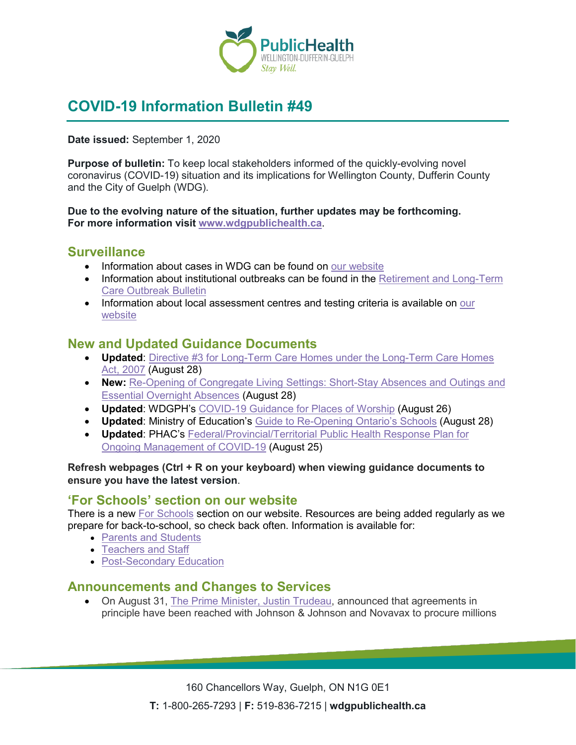

# **COVID-19 Information Bulletin #49**

#### **Date issued:** September 1, 2020

**Purpose of bulletin:** To keep local stakeholders informed of the quickly-evolving novel coronavirus (COVID-19) situation and its implications for Wellington County, Dufferin County and the City of Guelph (WDG).

#### **Due to the evolving nature of the situation, further updates may be forthcoming. For more information visit [www.wdgpublichealth.ca](http://www.wdgpublichealth.ca/)**.

#### **Surveillance**

- Information about cases in WDG can be found on [our website](https://wdgpublichealth.ca/your-health/covid-19-information-public/status-cases-wdg)
- Information about institutional outbreaks can be found in the Retirement and Long-Term [Care Outbreak Bulletin](https://wdgpublichealth.ca/node/1542)
- Information about local assessment centres and testing criteria is available on our [website](https://www.wdgpublichealth.ca/your-health/covid-19-information-public/assessment-centres-wdg)

#### **New and Updated Guidance Documents**

- **Updated**: [Directive #3 for Long-Term Care Homes under the Long-Term Care Homes](http://www.health.gov.on.ca/en/pro/programs/publichealth/coronavirus/docs/directives/LTCH_HPPA.pdf)  [Act, 2007](http://www.health.gov.on.ca/en/pro/programs/publichealth/coronavirus/docs/directives/LTCH_HPPA.pdf) (August 28)
- **New:** [Re-Opening of Congregate Living Settings: Short-Stay Absences and Outings and](http://www.children.gov.on.ca/docs/MCCSS-Re-Opening-Short-Stay-Overnight-Stays-EN.pdf)  [Essential Overnight Absences](http://www.children.gov.on.ca/docs/MCCSS-Re-Opening-Short-Stay-Overnight-Stays-EN.pdf) (August 28)
- **Updated**: WDGPH's [COVID-19 Guidance for Places of Worship](https://www.wdgpublichealth.ca/sites/default/files/covid-19_guidance_for_places_of_worship_august_26_.pdf) (August 26)
- **Updated**: Ministry of Education's [Guide to Re-Opening Ontario's Schools](https://www.ontario.ca/page/guide-reopening-ontarios-schools) (August 28)
- **Updated**: PHAC's [Federal/Provincial/Territorial Public Health Response Plan for](https://www.canada.ca/en/public-health/services/diseases/2019-novel-coronavirus-infection/guidance-documents/federal-provincial-territorial-public-health-response-plan-ongoing-management-covid-19.html)  [Ongoing Management of COVID-19](https://www.canada.ca/en/public-health/services/diseases/2019-novel-coronavirus-infection/guidance-documents/federal-provincial-territorial-public-health-response-plan-ongoing-management-covid-19.html) (August 25)

**Refresh webpages (Ctrl + R on your keyboard) when viewing guidance documents to ensure you have the latest version**.

#### **'For Schools' section on our website**

There is a new [For Schools](https://wdgpublichealth.ca/your-health/covid-19-information-schools-parents-and-teachers/schools) section on our website. Resources are being added regularly as we prepare for back-to-school, so check back often. Information is available for:

- [Parents and Students](https://wdgpublichealth.ca/your-health/covid-19-information-schools-parents-and-teachers/parents-and-students)
- [Teachers and Staff](https://wdgpublichealth.ca/your-health/covid-19-information-schools-parents-and-teachers/teachers-and-staff)
- [Post-Secondary](https://wdgpublichealth.ca/your-health/covid-19-information-schools-parents-and-teachers/post-secondary-education) Education

#### **Announcements and Changes to Services**

• On August 31, [The Prime Minister, Justin Trudeau,](https://pm.gc.ca/en/news/news-releases/2020/08/31/new-measures-ensure-supply-future-vaccines-and-therapies-against) announced that agreements in principle have been reached with Johnson & Johnson and Novavax to procure millions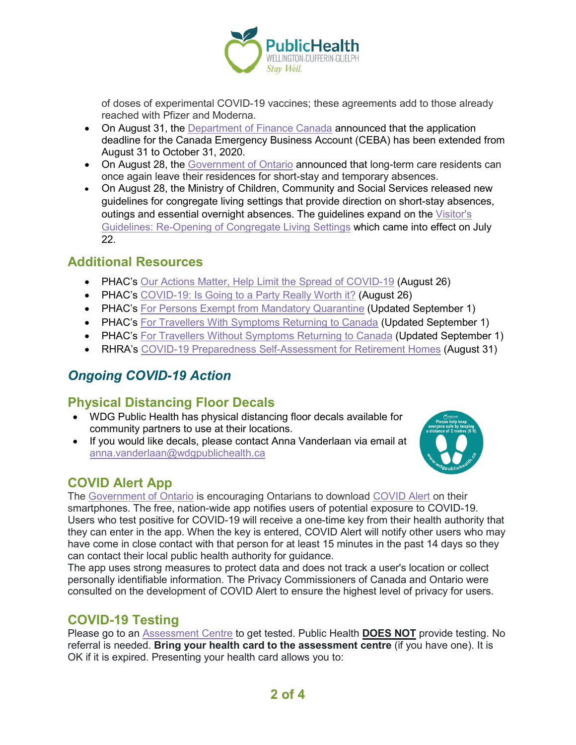

of doses of experimental COVID-19 vaccines; these agreements add to those already reached with Pfizer and Moderna.

- On August 31, the [Department of Finance Canada](https://www.canada.ca/en/department-finance/news/2020/08/government-announces-greater-flexibility-and-extension-of-canada-emergency-business-account.html) announced that the application deadline for the Canada Emergency Business Account (CEBA) has been extended from August 31 to October 31, 2020.
- On August 28, the [Government of Ontario](https://news.ontario.ca/en/release/58181/safe-outings-now-possible-for-long-term-care-home-residents) announced that long-term care residents can once again leave their residences for short-stay and temporary absences.
- On August 28, the Ministry of Children, Community and Social Services released new guidelines for congregate living settings that provide direction on short-stay absences, outings and essential overnight absences. The guidelines expand on the [Visitor's](http://www.children.gov.on.ca/docs/MCCSS_Visitor_Guidelines_Congregate_Living-EN.pdf)  [Guidelines: Re-Opening of Congregate Living Settings](http://www.children.gov.on.ca/docs/MCCSS_Visitor_Guidelines_Congregate_Living-EN.pdf) which came into effect on July 22.

#### **Additional Resources**

- PHAC's [Our Actions Matter, Help Limit the Spread of COVID-19](https://www.canada.ca/en/public-health/services/video/covid-19-our-actions-matter.html) (August 26)
- PHAC's [COVID-19: Is Going to a Party Really Worth it?](https://www.canada.ca/en/public-health/services/video/covid-19-going-party-really-worth-it.html) (August 26)
- PHAC's [For Persons Exempt from Mandatory Quarantine](https://www.canada.ca/en/public-health/services/publications/diseases-conditions/covid-19-information-essential-service-workers.html) (Updated September 1)
- PHAC's [For Travellers With Symptoms Returning to Canada](https://www.canada.ca/en/public-health/services/publications/diseases-conditions/travellers-with-symptoms-return-canada.html) (Updated September 1)
- PHAC's [For Travellers Without Symptoms Returning to Canada](https://www.canada.ca/en/public-health/services/publications/diseases-conditions/2019-novel-coronavirus-information-sheet.html) (Updated September 1)
- RHRA's [COVID-19 Preparedness Self-Assessment for Retirement Homes](https://mailchi.mp/d38eb153d295/rhra-covid-19-info-7937261) (August 31)

# *Ongoing COVID-19 Action*

## **Physical Distancing Floor Decals**

- WDG Public Health has physical distancing floor decals available for community partners to use at their locations.
- If you would like decals, please contact Anna Vanderlaan via email at [anna.vanderlaan@wdgpublichealth.ca](mailto:anna.vanderlaan@wdgpublichealth.ca)



## **COVID Alert App**

The [Government of Ontario](https://news.ontario.ca/opo/en/2020/07/covid-alert-available-for-download-beginning-today.html) is encouraging Ontarians to download [COVID Alert](https://covid-19.ontario.ca/covidalert?_ga=2.68068817.1702415536.1596548534-1123331746.1579028832) on their smartphones. The free, nation-wide app notifies users of potential exposure to COVID-19. Users who test positive for COVID-19 will receive a one-time key from their health authority that they can enter in the app. When the key is entered, COVID Alert will notify other users who may have come in close contact with that person for at least 15 minutes in the past 14 days so they can contact their local public health authority for guidance.

The app uses strong measures to protect data and does not track a user's location or collect personally identifiable information. The Privacy Commissioners of Canada and Ontario were consulted on the development of COVID Alert to ensure the highest level of privacy for users.

## **COVID-19 Testing**

Please go to an [Assessment Centre](https://wdgpublichealth.ca/your-health/covid-19-information-public/assessment-centres-wdg) to get tested. Public Health **DOES NOT** provide testing. No referral is needed. **Bring your health card to the assessment centre** (if you have one). It is OK if it is expired. Presenting your health card allows you to: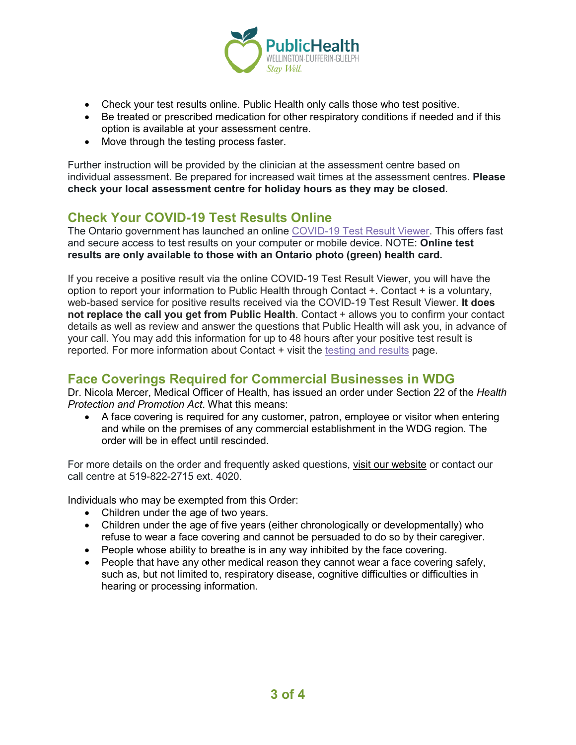

- Check your test results online. Public Health only calls those who test positive.
- Be treated or prescribed medication for other respiratory conditions if needed and if this option is available at your assessment centre.
- Move through the testing process faster.

Further instruction will be provided by the clinician at the assessment centre based on individual assessment. Be prepared for increased wait times at the assessment centres. **Please check your local assessment centre for holiday hours as they may be closed**.

## **Check Your COVID-19 Test Results Online**

The Ontario government has launched an online [COVID-19 Test Result Viewer.](https://covid19results.ehealthontario.ca:4443/agree) This offers fast and secure access to test results on your computer or mobile device. NOTE: **Online test results are only available to those with an Ontario photo (green) health card.**

If you receive a positive result via the online COVID-19 Test Result Viewer, you will have the option to report your information to Public Health through Contact +. Contact + is a voluntary, web-based service for positive results received via the COVID-19 Test Result Viewer. **It does not replace the call you get from Public Health**. Contact + allows you to confirm your contact details as well as review and answer the questions that Public Health will ask you, in advance of your call. You may add this information for up to 48 hours after your positive test result is reported. For more information about Contact + visit the [testing and results](https://www.wdgpublichealth.ca/your-health/covid-19-information-public/testing-and-results) page.

## **Face Coverings Required for Commercial Businesses in WDG**

Dr. Nicola Mercer, Medical Officer of Health, has issued an order under Section 22 of the *Health Protection and Promotion Act*. What this means:

• A face covering is required for any customer, patron, employee or visitor when entering and while on the premises of any commercial establishment in the WDG region. The order will be in effect until rescinded.

For more details on the order and frequently asked questions, [visit our website](https://www.wdgpublichealth.ca/your-health/covid-19-information-public/face-coverings-class-order-and-faqs) or contact our call centre at 519-822-2715 ext. 4020.

Individuals who may be exempted from this Order:

- Children under the age of two years.
- Children under the age of five years (either chronologically or developmentally) who refuse to wear a face covering and cannot be persuaded to do so by their caregiver.
- People whose ability to breathe is in any way inhibited by the face covering.
- People that have any other medical reason they cannot wear a face covering safely, such as, but not limited to, respiratory disease, cognitive difficulties or difficulties in hearing or processing information.